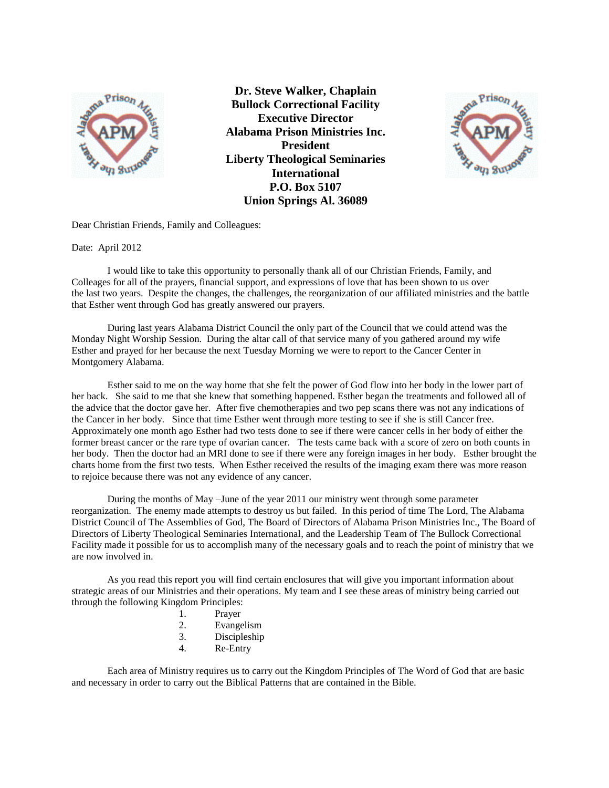

 **P.O. Box 5107 Union Springs Al. 36089 Dr. Steve Walker, Chaplain Bullock Correctional Facility Executive Director Alabama Prison Ministries Inc. President Liberty Theological Seminaries International**



Dear Christian Friends, Family and Colleagues:

Date: April 2012

I would like to take this opportunity to personally thank all of our Christian Friends, Family, and Colleages for all of the prayers, financial support, and expressions of love that has been shown to us over the last two years. Despite the changes, the challenges, the reorganization of our affiliated ministries and the battle that Esther went through God has greatly answered our prayers.

During last years Alabama District Council the only part of the Council that we could attend was the Monday Night Worship Session. During the altar call of that service many of you gathered around my wife Esther and prayed for her because the next Tuesday Morning we were to report to the Cancer Center in Montgomery Alabama.

Esther said to me on the way home that she felt the power of God flow into her body in the lower part of her back. She said to me that she knew that something happened. Esther began the treatments and followed all of the advice that the doctor gave her. After five chemotherapies and two pep scans there was not any indications of the Cancer in her body. Since that time Esther went through more testing to see if she is still Cancer free. Approximately one month ago Esther had two tests done to see if there were cancer cells in her body of either the former breast cancer or the rare type of ovarian cancer. The tests came back with a score of zero on both counts in her body. Then the doctor had an MRI done to see if there were any foreign images in her body. Esther brought the charts home from the first two tests. When Esther received the results of the imaging exam there was more reason to rejoice because there was not any evidence of any cancer.

During the months of May –June of the year 2011 our ministry went through some parameter reorganization. The enemy made attempts to destroy us but failed. In this period of time The Lord, The Alabama District Council of The Assemblies of God, The Board of Directors of Alabama Prison Ministries Inc., The Board of Directors of Liberty Theological Seminaries International, and the Leadership Team of The Bullock Correctional Facility made it possible for us to accomplish many of the necessary goals and to reach the point of ministry that we are now involved in.

As you read this report you will find certain enclosures that will give you important information about strategic areas of our Ministries and their operations. My team and I see these areas of ministry being carried out through the following Kingdom Principles:

- 1. Prayer
- 2. Evangelism
- 3. Discipleship
- 4. Re-Entry

Each area of Ministry requires us to carry out the Kingdom Principles of The Word of God that are basic and necessary in order to carry out the Biblical Patterns that are contained in the Bible.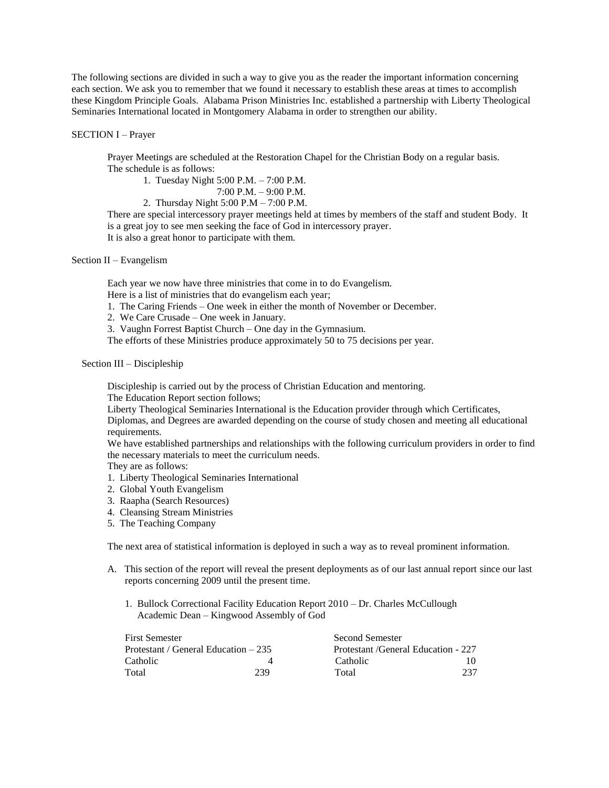The following sections are divided in such a way to give you as the reader the important information concerning each section. We ask you to remember that we found it necessary to establish these areas at times to accomplish these Kingdom Principle Goals. Alabama Prison Ministries Inc. established a partnership with Liberty Theological Seminaries International located in Montgomery Alabama in order to strengthen our ability.

### SECTION I – Prayer

Prayer Meetings are scheduled at the Restoration Chapel for the Christian Body on a regular basis. The schedule is as follows:

1. Tuesday Night 5:00 P.M. – 7:00 P.M.

7:00 P.M. – 9:00 P.M.

2. Thursday Night 5:00 P.M – 7:00 P.M.

There are special intercessory prayer meetings held at times by members of the staff and student Body. It is a great joy to see men seeking the face of God in intercessory prayer. It is also a great honor to participate with them.

#### Section II – Evangelism

Each year we now have three ministries that come in to do Evangelism.

Here is a list of ministries that do evangelism each year;

- 1. The Caring Friends One week in either the month of November or December.
- 2. We Care Crusade One week in January.
- 3. Vaughn Forrest Baptist Church One day in the Gymnasium.

The efforts of these Ministries produce approximately 50 to 75 decisions per year.

# Section III – Discipleship

Discipleship is carried out by the process of Christian Education and mentoring.

The Education Report section follows;

Liberty Theological Seminaries International is the Education provider through which Certificates, Diplomas, and Degrees are awarded depending on the course of study chosen and meeting all educational requirements.

We have established partnerships and relationships with the following curriculum providers in order to find the necessary materials to meet the curriculum needs.

They are as follows:

- 1. Liberty Theological Seminaries International
- 2. Global Youth Evangelism
- 3. Raapha (Search Resources)
- 4. Cleansing Stream Ministries
- 5. The Teaching Company

The next area of statistical information is deployed in such a way as to reveal prominent information.

- A. This section of the report will reveal the present deployments as of our last annual report since our last reports concerning 2009 until the present time.
	- 1. Bullock Correctional Facility Education Report 2010 Dr. Charles McCullough Academic Dean – Kingwood Assembly of God

| <b>First Semester</b>                 |     | <b>Second Semester</b>             |     |
|---------------------------------------|-----|------------------------------------|-----|
| Protestant / General Education $-235$ |     | Protestant/General Education - 227 |     |
| Catholic.                             |     | Catholic                           | 10  |
| Total                                 | 239 | Total                              | 237 |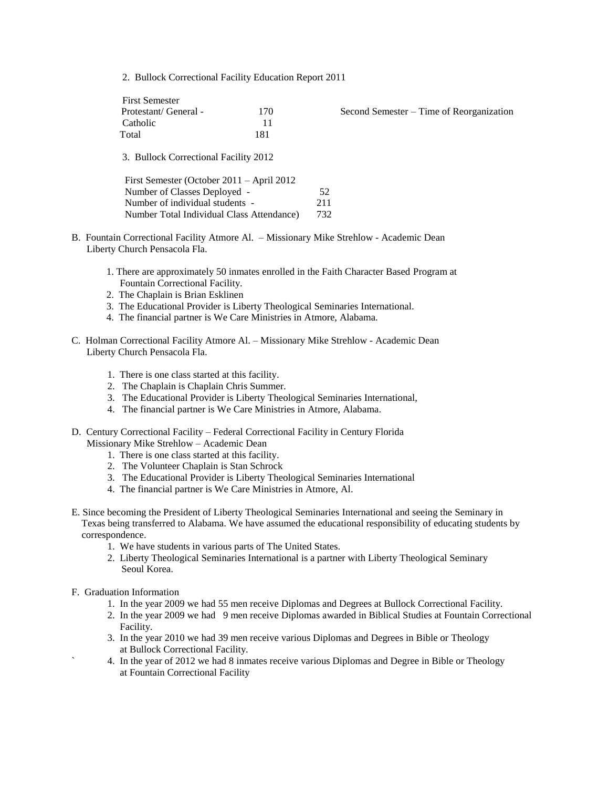2. Bullock Correctional Facility Education Report 2011

| <b>First Semester</b>                                                                                                                                                                              |     |                                          |  |
|----------------------------------------------------------------------------------------------------------------------------------------------------------------------------------------------------|-----|------------------------------------------|--|
| Protestant/General -                                                                                                                                                                               | 170 | Second Semester – Time of Reorganization |  |
| Catholic                                                                                                                                                                                           | 11  |                                          |  |
| Total                                                                                                                                                                                              | 181 |                                          |  |
| 3. Bullock Correctional Facility 2012<br>First Semester (October 2011 – April 2012<br>Number of Classes Deployed -<br>Number of individual students -<br>Number Total Individual Class Attendance) |     | 52<br>211<br>732                         |  |

- B. Fountain Correctional Facility Atmore Al. Missionary Mike Strehlow Academic Dean Liberty Church Pensacola Fla.
	- 1. There are approximately 50 inmates enrolled in the Faith Character Based Program at Fountain Correctional Facility.
	- 2. The Chaplain is Brian Esklinen
	- 3. The Educational Provider is Liberty Theological Seminaries International.
	- 4. The financial partner is We Care Ministries in Atmore, Alabama.
- C. Holman Correctional Facility Atmore Al. Missionary Mike Strehlow Academic Dean Liberty Church Pensacola Fla.
	- 1. There is one class started at this facility.
	- 2. The Chaplain is Chaplain Chris Summer.
	- 3. The Educational Provider is Liberty Theological Seminaries International,
	- 4. The financial partner is We Care Ministries in Atmore, Alabama.
- D. Century Correctional Facility Federal Correctional Facility in Century Florida Missionary Mike Strehlow – Academic Dean
	- 1. There is one class started at this facility.
	- 2. The Volunteer Chaplain is Stan Schrock
	- 3. The Educational Provider is Liberty Theological Seminaries International
	- 4. The financial partner is We Care Ministries in Atmore, Al.
- E. Since becoming the President of Liberty Theological Seminaries International and seeing the Seminary in Texas being transferred to Alabama. We have assumed the educational responsibility of educating students by correspondence.
	- 1. We have students in various parts of The United States.
	- 2. Liberty Theological Seminaries International is a partner with Liberty Theological Seminary Seoul Korea.
- F. Graduation Information
	- 1. In the year 2009 we had 55 men receive Diplomas and Degrees at Bullock Correctional Facility.
	- 2. In the year 2009 we had 9 men receive Diplomas awarded in Biblical Studies at Fountain Correctional Facility.
	- 3. In the year 2010 we had 39 men receive various Diplomas and Degrees in Bible or Theology at Bullock Correctional Facility.
	- ` 4. In the year of 2012 we had 8 inmates receive various Diplomas and Degree in Bible or Theology at Fountain Correctional Facility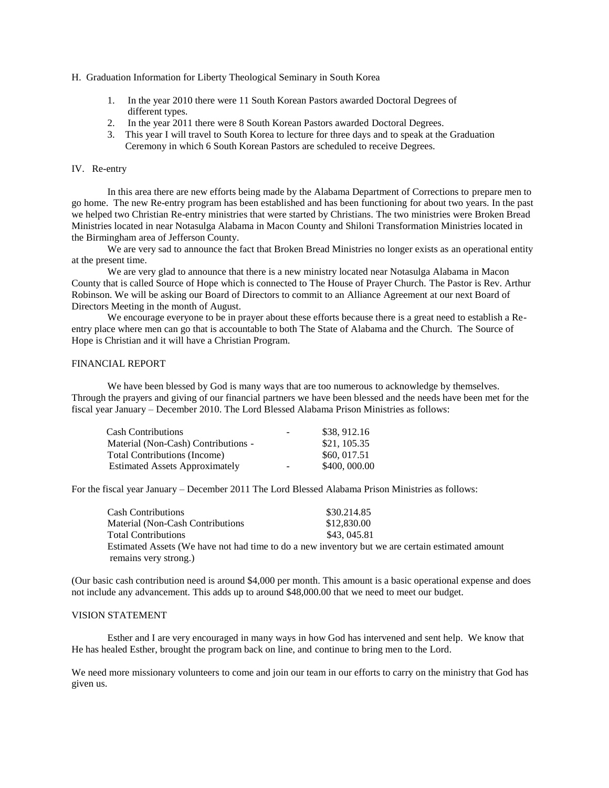- H. Graduation Information for Liberty Theological Seminary in South Korea
	- 1. In the year 2010 there were 11 South Korean Pastors awarded Doctoral Degrees of different types.
	- 2. In the year 2011 there were 8 South Korean Pastors awarded Doctoral Degrees.
	- 3. This year I will travel to South Korea to lecture for three days and to speak at the Graduation Ceremony in which 6 South Korean Pastors are scheduled to receive Degrees.

## IV. Re-entry

In this area there are new efforts being made by the Alabama Department of Corrections to prepare men to go home. The new Re-entry program has been established and has been functioning for about two years. In the past we helped two Christian Re-entry ministries that were started by Christians. The two ministries were Broken Bread Ministries located in near Notasulga Alabama in Macon County and Shiloni Transformation Ministries located in the Birmingham area of Jefferson County.

We are very sad to announce the fact that Broken Bread Ministries no longer exists as an operational entity at the present time.

We are very glad to announce that there is a new ministry located near Notasulga Alabama in Macon County that is called Source of Hope which is connected to The House of Prayer Church. The Pastor is Rev. Arthur Robinson. We will be asking our Board of Directors to commit to an Alliance Agreement at our next Board of Directors Meeting in the month of August.

We encourage everyone to be in prayer about these efforts because there is a great need to establish a Reentry place where men can go that is accountable to both The State of Alabama and the Church. The Source of Hope is Christian and it will have a Christian Program.

### FINANCIAL REPORT

We have been blessed by God is many ways that are too numerous to acknowledge by themselves. Through the prayers and giving of our financial partners we have been blessed and the needs have been met for the fiscal year January – December 2010. The Lord Blessed Alabama Prison Ministries as follows:

| <b>Cash Contributions</b>             | $\sim$ | \$38,912.16  |
|---------------------------------------|--------|--------------|
| Material (Non-Cash) Contributions -   |        | \$21, 105.35 |
| <b>Total Contributions (Income)</b>   |        | \$60, 017.51 |
| <b>Estimated Assets Approximately</b> | $\sim$ | \$400,000.00 |

For the fiscal year January – December 2011 The Lord Blessed Alabama Prison Ministries as follows:

| <b>Cash Contributions</b>         | \$30.214.85                                                                                      |
|-----------------------------------|--------------------------------------------------------------------------------------------------|
| Material (Non-Cash Contributions) | \$12,830.00                                                                                      |
| <b>Total Contributions</b>        | \$43, 045.81                                                                                     |
|                                   | Estimated Assets (We have not had time to do a new inventory but we are certain estimated amount |
| remains very strong.)             |                                                                                                  |

(Our basic cash contribution need is around \$4,000 per month. This amount is a basic operational expense and does not include any advancement. This adds up to around \$48,000.00 that we need to meet our budget.

## VISION STATEMENT

Esther and I are very encouraged in many ways in how God has intervened and sent help. We know that He has healed Esther, brought the program back on line, and continue to bring men to the Lord.

We need more missionary volunteers to come and join our team in our efforts to carry on the ministry that God has given us.